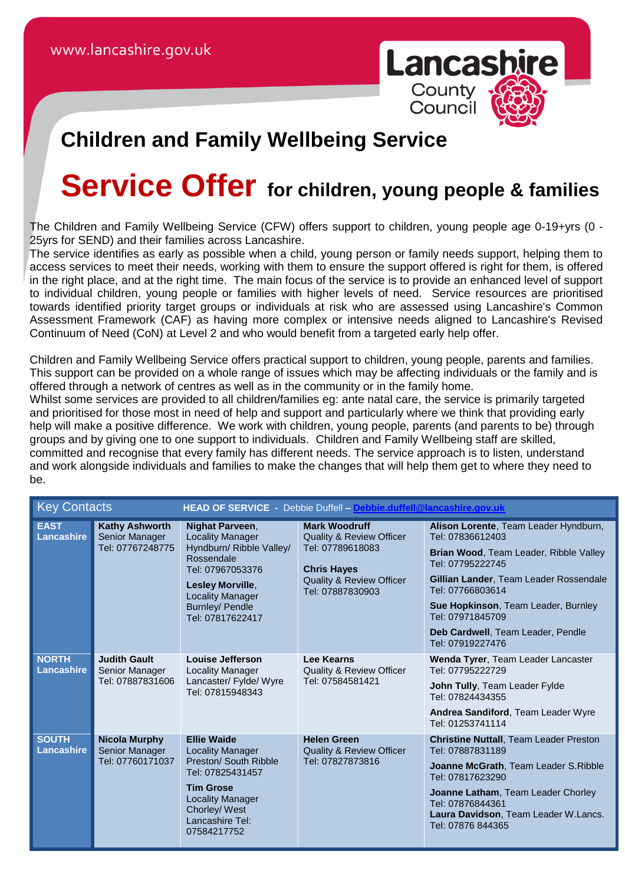

## **Children and Family Wellbeing Service**

# **Service Offer for children, young people & families**

The Children and Family Wellbeing Service (CFW) offers support to children, young people age 0-19+yrs (0 - 25yrs for SEND) and their families across Lancashire.

The service identifies as early as possible when a child, young person or family needs support, helping them to access services to meet their needs, working with them to ensure the support offered is right for them, is offered in the right place, and at the right time. The main focus of the service is to provide an enhanced level of support to individual children, young people or families with higher levels of need. Service resources are prioritised towards identified priority target groups or individuals at risk who are assessed using Lancashire's Common Assessment Framework (CAF) as having more complex or intensive needs aligned to Lancashire's Revised Continuum of Need (CoN) at Level 2 and who would benefit from a targeted early help offer.

Children and Family Wellbeing Service offers practical support to children, young people, parents and families. This support can be provided on a whole range of issues which may be affecting individuals or the family and is offered through a network of centres as well as in the community or in the family home.

Whilst some services are provided to all children/families eg: ante natal care, the service is primarily targeted and prioritised for those most in need of help and support and particularly where we think that providing early help will make a positive difference. We work with children, young people, parents (and parents to be) through groups and by giving one to one support to individuals. Children and Family Wellbeing staff are skilled, committed and recognise that every family has different needs. The service approach is to listen, understand and work alongside individuals and families to make the changes that will help them get to where they need to be.

| <b>Key Contacts</b>               |                                                             |                                                                                                                                                                                                | HEAD OF SERVICE - Debbie Duffell - Debbie.duffell@lancashire.gov.uk                                                                                              |                                                                                                                                                                                                                                                                                                                  |  |
|-----------------------------------|-------------------------------------------------------------|------------------------------------------------------------------------------------------------------------------------------------------------------------------------------------------------|------------------------------------------------------------------------------------------------------------------------------------------------------------------|------------------------------------------------------------------------------------------------------------------------------------------------------------------------------------------------------------------------------------------------------------------------------------------------------------------|--|
| <b>EAST</b><br>Lancashire         | <b>Kathy Ashworth</b><br>Senior Manager<br>Tel: 07767248775 | Nighat Parveen,<br><b>Locality Manager</b><br>Hyndburn/ Ribble Valley/<br>Rossendale<br>Tel: 07967053376<br>Lesley Morville,<br><b>Locality Manager</b><br>Burnley/ Pendle<br>Tel: 07817622417 | <b>Mark Woodruff</b><br><b>Quality &amp; Review Officer</b><br>Tel: 07789618083<br><b>Chris Hayes</b><br><b>Quality &amp; Review Officer</b><br>Tel: 07887830903 | Alison Lorente, Team Leader Hyndburn,<br>Tel: 07836612403<br><b>Brian Wood, Team Leader, Ribble Valley</b><br>Tel: 07795222745<br>Gillian Lander, Team Leader Rossendale<br>Tel: 07766803614<br>Sue Hopkinson, Team Leader, Burnley<br>Tel: 07971845709<br>Deb Cardwell, Team Leader, Pendle<br>Tel: 07919227476 |  |
| <b>NORTH</b><br><b>Lancashire</b> | <b>Judith Gault</b><br>Senior Manager<br>Tel: 07887831606   | Louise Jefferson<br><b>Locality Manager</b><br>Lancaster/ Fylde/ Wyre<br>Tel: 07815948343                                                                                                      | <b>Lee Kearns</b><br><b>Quality &amp; Review Officer</b><br>Tel: 07584581421                                                                                     | Wenda Tyrer, Team Leader Lancaster<br>Tel: 07795222729<br>John Tully, Team Leader Fylde<br>Tel: 07824434355<br>Andrea Sandiford, Team Leader Wyre<br>Tel: 01253741114                                                                                                                                            |  |
| <b>SOUTH</b><br>Lancashire        | <b>Nicola Murphy</b><br>Senior Manager<br>Tel: 07760171037  | <b>Ellie Waide</b><br><b>Locality Manager</b><br>Preston/ South Ribble<br>Tel: 07825431457<br><b>Tim Grose</b><br><b>Locality Manager</b><br>Chorley/ West<br>Lancashire Tel:<br>07584217752   | <b>Helen Green</b><br><b>Quality &amp; Review Officer</b><br>Tel: 07827873816                                                                                    | <b>Christine Nuttall, Team Leader Preston</b><br>Tel: 07887831189<br>Joanne McGrath, Team Leader S. Ribble<br>Tel: 07817623290<br>Joanne Latham, Team Leader Chorley<br>Tel: 07876844361<br>Laura Davidson, Team Leader W.Lancs.<br>Tel: 07876 844365                                                            |  |